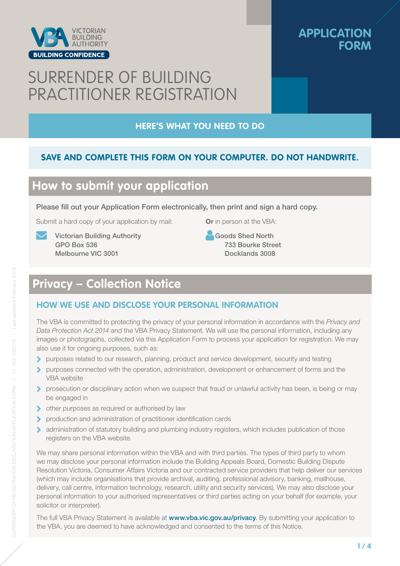

### **APPLICATION FORM**

# SURRENDER OF BUILDING PRACTITIONER REGISTRATION

#### **HERE'S WHAT YOU NEED TO DO**

#### **SAVE AND COMPLETE THIS FORM ON YOUR COMPUTER. DO NOT HANDWRITE.**

### **How to submit your application**

Please fill out your Application Form electronically, then print and sign a hard copy.

Submit a hard copy of your application by mail:

 Victorian Building Authority GPO Box 536 Melbourne VIC 3001

Or in person at the VBA:

 Goods Shed North 733 Bourke Street Docklands 3008

## **Privacy – Collection Notice**

#### **HOW WE USE AND DISCLOSE YOUR PERSONAL INFORMATION**

The VBA is committed to protecting the privacy of your personal information in accordance with the *Privacy and Data Protection Act 2014* and the VBA Privacy Statement. We will use the personal information, including any images or photographs, collected via this Application Form to process your application for registration. We may also use it for ongoing purposes, such as:

- purposes related to our research, planning, product and service development, security and testing
- **D** purposes connected with the operation, administration, development or enhancement of forms and the VBA website
- **D** prosecution or disciplinary action when we suspect that fraud or unlawful activity has been, is being or may be engaged in
- ther purposes as required or authorised by law
- production and administration of practitioner identification cards
- administration of statutory building and plumbing industry registers, which includes publication of those registers on the VBA website.

We may share personal information within the VBA and with third parties. The types of third party to whom we may disclose your personal information include the Building Appeals Board, Domestic Building Dispute Resolution Victoria, Consumer Affairs Victoria and our contracted service providers that help deliver our services (which may include organisations that provide archival, auditing, professional advisory, banking, mailhouse, delivery, call centre, information technology, research, utility and security services). We may also disclose your personal information to your authorised representatives or third parties acting on your behalf (for example, your solicitor or interpreter).

The full VBA Privacy Statement is available at **www.vba.vic.gov.au/privacy**. By submitting your application to the VBA, you are deemed to have acknowledged and consented to the terms of this Notice.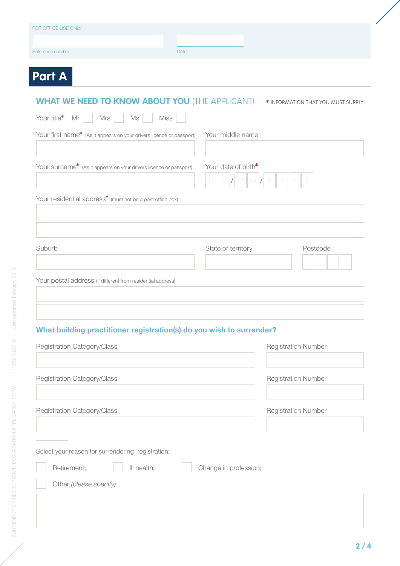| Reference number<br>Date                                              |                                    |
|-----------------------------------------------------------------------|------------------------------------|
| <b>Part A</b>                                                         |                                    |
|                                                                       |                                    |
| <b>WHAT WE NEED TO KNOW ABOUT YOU (THE APPLICANT)</b>                 | * INFORMATION THAT YOU MUST SUPPLY |
| Mrs<br>Ms<br>Your title $*$ Mr $\vert$<br><b>Miss</b>                 |                                    |
| Your first name* (As it appears on your drivers licence or passport). | Your middle name                   |
|                                                                       |                                    |
| Your surname* (As it appears on your drivers licence or passport).    | Your date of birth*                |
|                                                                       |                                    |
| Your residential address* (must not be a post office box)             |                                    |
|                                                                       |                                    |
|                                                                       |                                    |
| Suburb                                                                | State or territory<br>Postcode     |
|                                                                       |                                    |
| Your postal address (if different from residential address)           |                                    |
|                                                                       |                                    |
|                                                                       |                                    |
| What building practitioner registration(s) do you wish to surrender?  |                                    |
| Registration Category/Class                                           | <b>Registration Number</b>         |
|                                                                       |                                    |
| Registration Category/Class                                           | <b>Registration Number</b>         |
|                                                                       |                                    |
| Registration Category/Class                                           | <b>Registration Number</b>         |
|                                                                       |                                    |
|                                                                       |                                    |
|                                                                       |                                    |
| Select your reason for surrendering registration:                     |                                    |
| Retirement;<br>III health;                                            | Change in profession;              |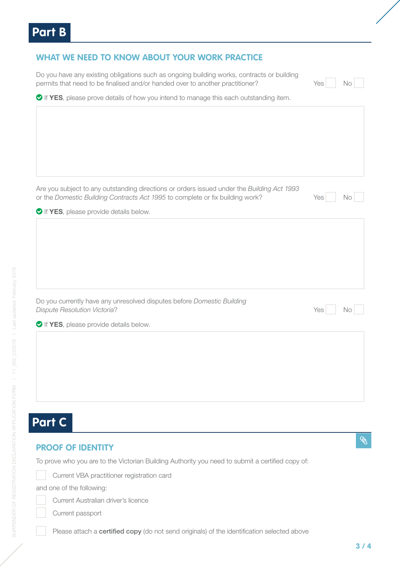| <b>WHAT WE NEED TO KNOW ABOUT YOUR WORK PRACTICE</b>                                                                                                                        |     |    |
|-----------------------------------------------------------------------------------------------------------------------------------------------------------------------------|-----|----|
| Do you have any existing obligations such as ongoing building works, contracts or building<br>permits that need to be finalised and/or handed over to another practitioner? | Yes | No |
| ◆ If YES, please prove details of how you intend to manage this each outstanding item.                                                                                      |     |    |
|                                                                                                                                                                             |     |    |
|                                                                                                                                                                             |     |    |
|                                                                                                                                                                             |     |    |
|                                                                                                                                                                             |     |    |
|                                                                                                                                                                             |     |    |
| Are you subject to any outstanding directions or orders issued under the Building Act 1993                                                                                  |     |    |
| or the Domestic Building Contracts Act 1995 to complete or fix building work?                                                                                               | Yes | No |
| If YES, please provide details below.                                                                                                                                       |     |    |
|                                                                                                                                                                             |     |    |
|                                                                                                                                                                             |     |    |
|                                                                                                                                                                             |     |    |
|                                                                                                                                                                             |     |    |
| Do you currently have any unresolved disputes before Domestic Building                                                                                                      |     |    |
| <b>Dispute Resolution Victoria?</b>                                                                                                                                         | Yes | No |
| If YES, please provide details below.                                                                                                                                       |     |    |
|                                                                                                                                                                             |     |    |
|                                                                                                                                                                             |     |    |
|                                                                                                                                                                             |     |    |
|                                                                                                                                                                             |     |    |
|                                                                                                                                                                             |     |    |

#### $\mathscr{C}$

#### **PROOF OF IDENTITY**

To prove who you are to the Victorian Building Authority you need to submit a certified copy of:



and one of the following:

- Current Australian driver's licence
- Current passport

Please attach a certified copy (do not send originals) of the identification selected above